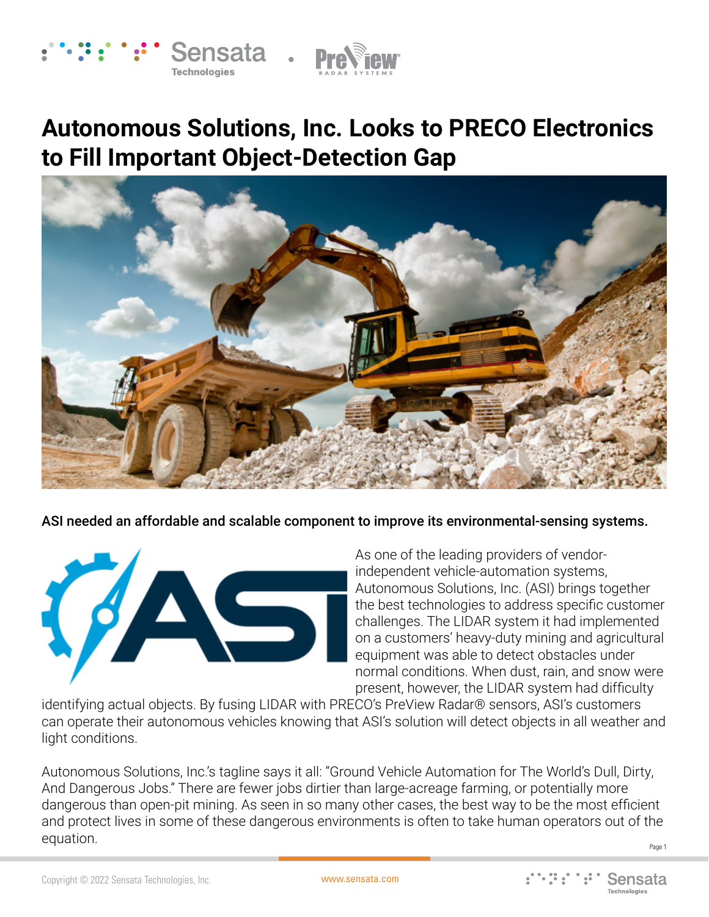



## **Autonomous Solutions, Inc. Looks to PRECO Electronics to Fill Important Object-Detection Gap**



ASI needed an affordable and scalable component to improve its environmental-sensing systems.



As one of the leading providers of vendorindependent vehicle-automation systems, Autonomous Solutions, Inc. (ASI) brings together the best technologies to address specific customer challenges. The LIDAR system it had implemented on a customers' heavy-duty mining and agricultural equipment was able to detect obstacles under normal conditions. When dust, rain, and snow were present, however, the LIDAR system had difficulty

identifying actual objects. By fusing LIDAR with PRECO's PreView Radar® sensors, ASI's customers can operate their autonomous vehicles knowing that ASI's solution will detect objects in all weather and light conditions.

Page 1 Autonomous Solutions, Inc.'s tagline says it all: "Ground Vehicle Automation for The World's Dull, Dirty, And Dangerous Jobs." There are fewer jobs dirtier than large-acreage farming, or potentially more dangerous than open-pit mining. As seen in so many other cases, the best way to be the most efficient and protect lives in some of these dangerous environments is often to take human operators out of the equation.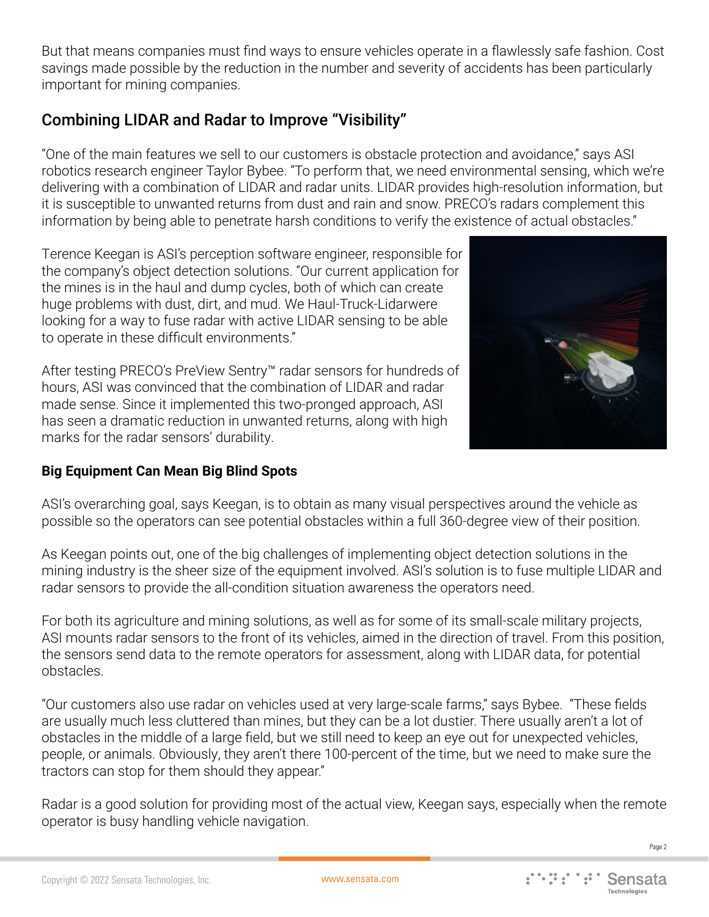But that means companies must find ways to ensure vehicles operate in a flawlessly safe fashion. Cost savings made possible by the reduction in the number and severity of accidents has been particularly important for mining companies.

## Combining LIDAR and Radar to Improve "Visibility"

"One of the main features we sell to our customers is obstacle protection and avoidance," says ASI robotics research engineer Taylor Bybee. "To perform that, we need environmental sensing, which we're delivering with a combination of LIDAR and radar units. LIDAR provides high-resolution information, but it is susceptible to unwanted returns from dust and rain and snow. PRECO's radars complement this information by being able to penetrate harsh conditions to verify the existence of actual obstacles."

Terence Keegan is ASI's perception software engineer, responsible for the company's object detection solutions. "Our current application for the mines is in the haul and dump cycles, both of which can create huge problems with dust, dirt, and mud. We Haul-Truck-Lidarwere looking for a way to fuse radar with active LIDAR sensing to be able to operate in these difficult environments."

After testing PRECO's PreView Sentry™ radar sensors for hundreds of hours, ASI was convinced that the combination of LIDAR and radar made sense. Since it implemented this two-pronged approach, ASI has seen a dramatic reduction in unwanted returns, along with high marks for the radar sensors' durability.



## **Big Equipment Can Mean Big Blind Spots**

ASI's overarching goal, says Keegan, is to obtain as many visual perspectives around the vehicle as possible so the operators can see potential obstacles within a full 360-degree view of their position.

As Keegan points out, one of the big challenges of implementing object detection solutions in the mining industry is the sheer size of the equipment involved. ASI's solution is to fuse multiple LIDAR and radar sensors to provide the all-condition situation awareness the operators need.

For both its agriculture and mining solutions, as well as for some of its small-scale military projects, ASI mounts radar sensors to the front of its vehicles, aimed in the direction of travel. From this position, the sensors send data to the remote operators for assessment, along with LIDAR data, for potential obstacles.

"Our customers also use radar on vehicles used at very large-scale farms," says Bybee. "These fields are usually much less cluttered than mines, but they can be a lot dustier. There usually aren't a lot of obstacles in the middle of a large field, but we still need to keep an eye out for unexpected vehicles, people, or animals. Obviously, they aren't there 100-percent of the time, but we need to make sure the tractors can stop for them should they appear."

Radar is a good solution for providing most of the actual view, Keegan says, especially when the remote operator is busy handling vehicle navigation.